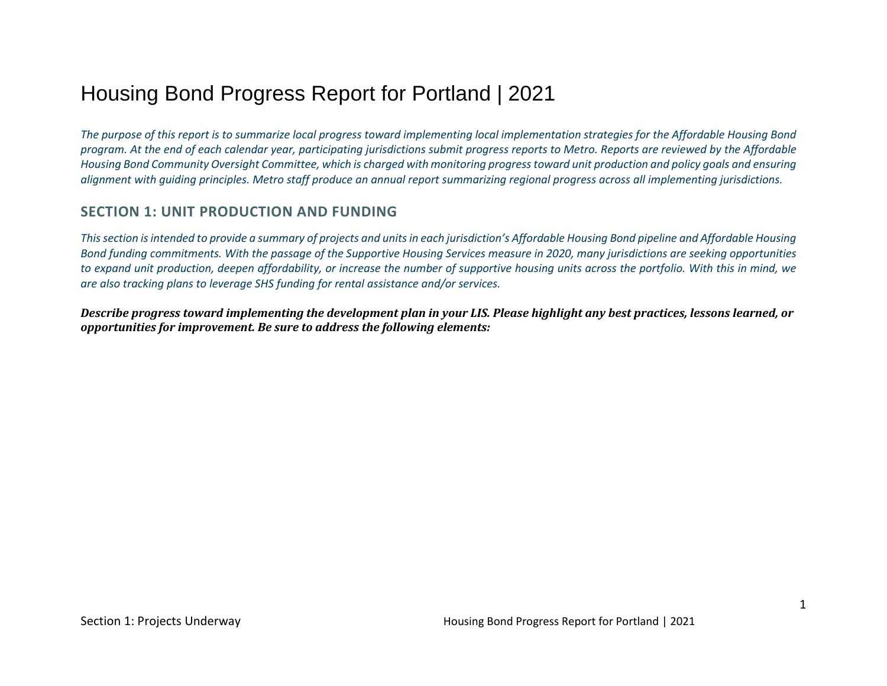# Housing Bond Progress Report for Portland | 2021

*The purpose of this report is to summarize local progress toward implementing local implementation strategies for the Affordable Housing Bond program. At the end of each calendar year, participating jurisdictions submit progress reports to Metro. Reports are reviewed by the Affordable Housing Bond Community Oversight Committee, which is charged with monitoring progress toward unit production and policy goals and ensuring alignment with guiding principles. Metro staff produce an annual report summarizing regional progress across all implementing jurisdictions.* 

# **SECTION 1: UNIT PRODUCTION AND FUNDING**

*This section is intended to provide a summary of projects and units in each jurisdiction's Affordable Housing Bond pipeline and Affordable Housing Bond funding commitments. With the passage of the Supportive Housing Services measure in 2020, many jurisdictions are seeking opportunities to expand unit production, deepen affordability, or increase the number of supportive housing units across the portfolio. With this in mind, we are also tracking plans to leverage SHS funding for rental assistance and/or services.* 

*Describe progress toward implementing the development plan in your LIS. Please highlight any best practices, lessons learned, or opportunities for improvement. Be sure to address the following elements:*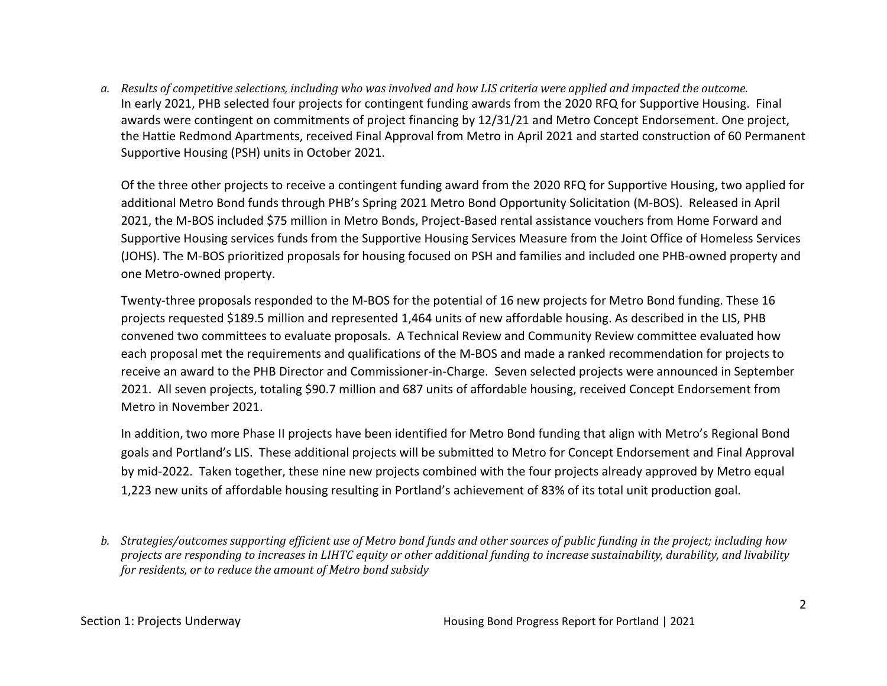*a. Results of competitive selections, including who was involved and how LIS criteria were applied and impacted the outcome.*  In early 2021, PHB selected four projects for contingent funding awards from the 2020 RFQ for Supportive Housing. Final awards were contingent on commitments of project financing by 12/31/21 and Metro Concept Endorsement. One project, the Hattie Redmond Apartments, received Final Approval from Metro in April 2021 and started construction of 60 Permanent Supportive Housing (PSH) units in October 2021.

Of the three other projects to receive a contingent funding award from the 2020 RFQ for Supportive Housing, two applied for additional Metro Bond funds through PHB's Spring 2021 Metro Bond Opportunity Solicitation (M-BOS). Released in April 2021, the M-BOS included \$75 million in Metro Bonds, Project-Based rental assistance vouchers from Home Forward and Supportive Housing services funds from the Supportive Housing Services Measure from the Joint Office of Homeless Services (JOHS). The M-BOS prioritized proposals for housing focused on PSH and families and included one PHB-owned property and one Metro-owned property.

Twenty-three proposals responded to the M-BOS for the potential of 16 new projects for Metro Bond funding. These 16 projects requested \$189.5 million and represented 1,464 units of new affordable housing. As described in the LIS, PHB convened two committees to evaluate proposals. A Technical Review and Community Review committee evaluated how each proposal met the requirements and qualifications of the M-BOS and made a ranked recommendation for projects to receive an award to the PHB Director and Commissioner-in-Charge. Seven selected projects were announced in September 2021. All seven projects, totaling \$90.7 million and 687 units of affordable housing, received Concept Endorsement from Metro in November 2021.

In addition, two more Phase II projects have been identified for Metro Bond funding that align with Metro's Regional Bond goals and Portland's LIS. These additional projects will be submitted to Metro for Concept Endorsement and Final Approval by mid-2022. Taken together, these nine new projects combined with the four projects already approved by Metro equal 1,223 new units of affordable housing resulting in Portland's achievement of 83% of its total unit production goal.

*b. Strategies/outcomes supporting efficient use of Metro bond funds and other sources of public funding in the project; including how projects are responding to increases in LIHTC equity or other additional funding to increase sustainability, durability, and livability for residents, or to reduce the amount of Metro bond subsidy*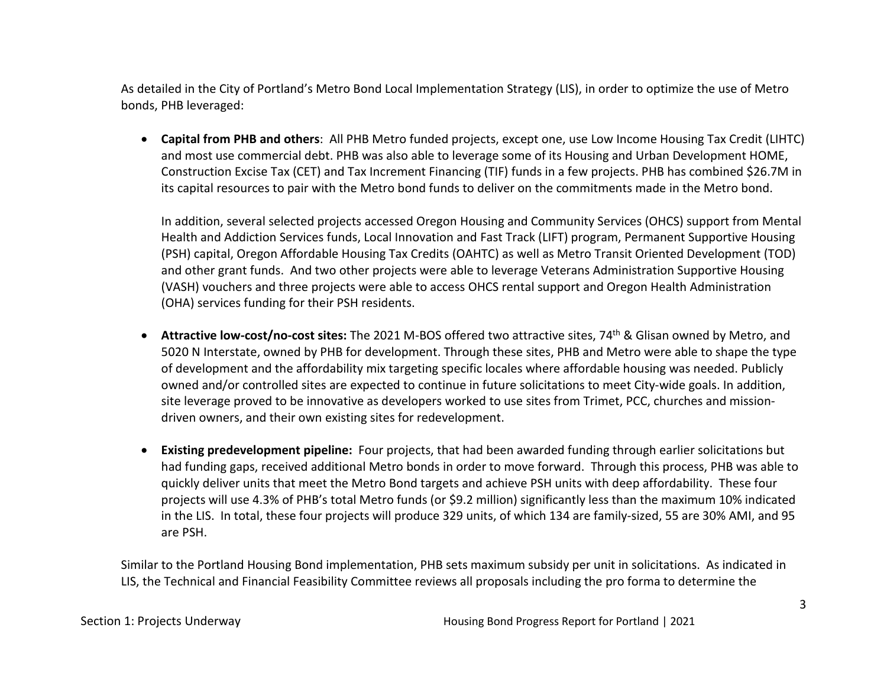As detailed in the City of Portland's Metro Bond Local Implementation Strategy (LIS), in order to optimize the use of Metro bonds, PHB leveraged:

• **Capital from PHB and others**: All PHB Metro funded projects, except one, use Low Income Housing Tax Credit (LIHTC) and most use commercial debt. PHB was also able to leverage some of its Housing and Urban Development HOME, Construction Excise Tax (CET) and Tax Increment Financing (TIF) funds in a few projects. PHB has combined \$26.7M in its capital resources to pair with the Metro bond funds to deliver on the commitments made in the Metro bond.

In addition, several selected projects accessed Oregon Housing and Community Services (OHCS) support from Mental Health and Addiction Services funds, Local Innovation and Fast Track (LIFT) program, Permanent Supportive Housing (PSH) capital, Oregon Affordable Housing Tax Credits (OAHTC) as well as Metro Transit Oriented Development (TOD) and other grant funds. And two other projects were able to leverage Veterans Administration Supportive Housing (VASH) vouchers and three projects were able to access OHCS rental support and Oregon Health Administration (OHA) services funding for their PSH residents.

- **Attractive low-cost/no-cost sites:** The 2021 M-BOS offered two attractive sites, 74th & Glisan owned by Metro, and 5020 N Interstate, owned by PHB for development. Through these sites, PHB and Metro were able to shape the type of development and the affordability mix targeting specific locales where affordable housing was needed. Publicly owned and/or controlled sites are expected to continue in future solicitations to meet City-wide goals. In addition, site leverage proved to be innovative as developers worked to use sites from Trimet, PCC, churches and missiondriven owners, and their own existing sites for redevelopment.
- **Existing predevelopment pipeline:** Four projects, that had been awarded funding through earlier solicitations but had funding gaps, received additional Metro bonds in order to move forward. Through this process, PHB was able to quickly deliver units that meet the Metro Bond targets and achieve PSH units with deep affordability. These four projects will use 4.3% of PHB's total Metro funds (or \$9.2 million) significantly less than the maximum 10% indicated in the LIS. In total, these four projects will produce 329 units, of which 134 are family-sized, 55 are 30% AMI, and 95 are PSH.

Similar to the Portland Housing Bond implementation, PHB sets maximum subsidy per unit in solicitations. As indicated in LIS, the Technical and Financial Feasibility Committee reviews all proposals including the pro forma to determine the

Section 1: Projects Underway Housing Bond Progress Report for Portland | 2021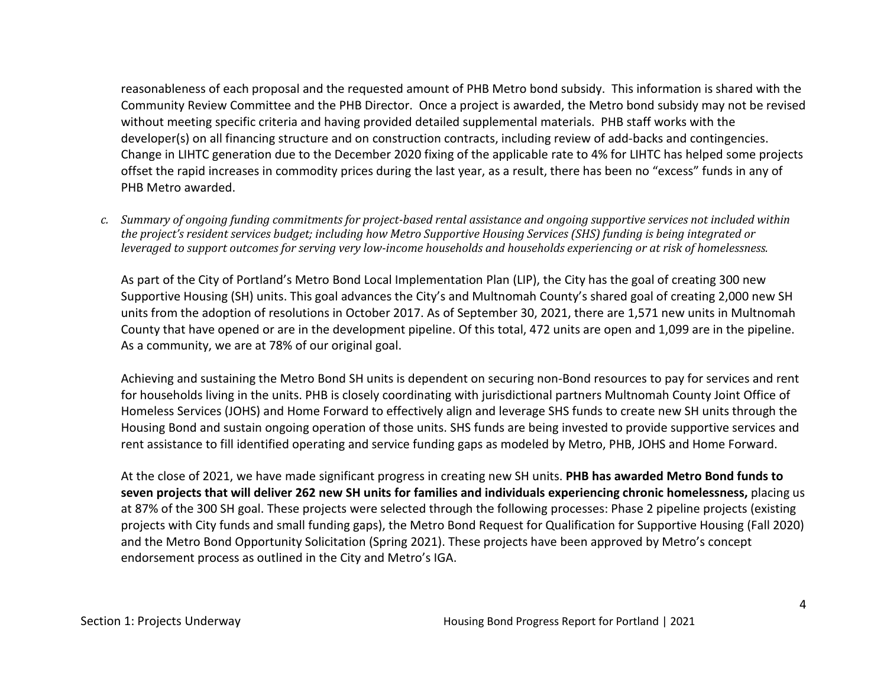reasonableness of each proposal and the requested amount of PHB Metro bond subsidy. This information is shared with the Community Review Committee and the PHB Director. Once a project is awarded, the Metro bond subsidy may not be revised without meeting specific criteria and having provided detailed supplemental materials. PHB staff works with the developer(s) on all financing structure and on construction contracts, including review of add-backs and contingencies. Change in LIHTC generation due to the December 2020 fixing of the applicable rate to 4% for LIHTC has helped some projects offset the rapid increases in commodity prices during the last year, as a result, there has been no "excess" funds in any of PHB Metro awarded.

*c. Summary of ongoing funding commitments for project-based rental assistance and ongoing supportive services not included within the project's resident services budget; including how Metro Supportive Housing Services (SHS) funding is being integrated or leveraged to support outcomes for serving very low-income households and households experiencing or at risk of homelessness.* 

As part of the City of Portland's Metro Bond Local Implementation Plan (LIP), the City has the goal of creating 300 new Supportive Housing (SH) units. This goal advances the City's and Multnomah County's shared goal of creating 2,000 new SH units from the adoption of resolutions in October 2017. As of September 30, 2021, there are 1,571 new units in Multnomah County that have opened or are in the development pipeline. Of this total, 472 units are open and 1,099 are in the pipeline. As a community, we are at 78% of our original goal.

Achieving and sustaining the Metro Bond SH units is dependent on securing non-Bond resources to pay for services and rent for households living in the units. PHB is closely coordinating with jurisdictional partners Multnomah County Joint Office of Homeless Services (JOHS) and Home Forward to effectively align and leverage SHS funds to create new SH units through the Housing Bond and sustain ongoing operation of those units. SHS funds are being invested to provide supportive services and rent assistance to fill identified operating and service funding gaps as modeled by Metro, PHB, JOHS and Home Forward.

At the close of 2021, we have made significant progress in creating new SH units. **PHB has awarded Metro Bond funds to seven projects that will deliver 262 new SH units for families and individuals experiencing chronic homelessness,** placing us at 87% of the 300 SH goal. These projects were selected through the following processes: Phase 2 pipeline projects (existing projects with City funds and small funding gaps), the Metro Bond Request for Qualification for Supportive Housing (Fall 2020) and the Metro Bond Opportunity Solicitation (Spring 2021). These projects have been approved by Metro's concept endorsement process as outlined in the City and Metro's IGA.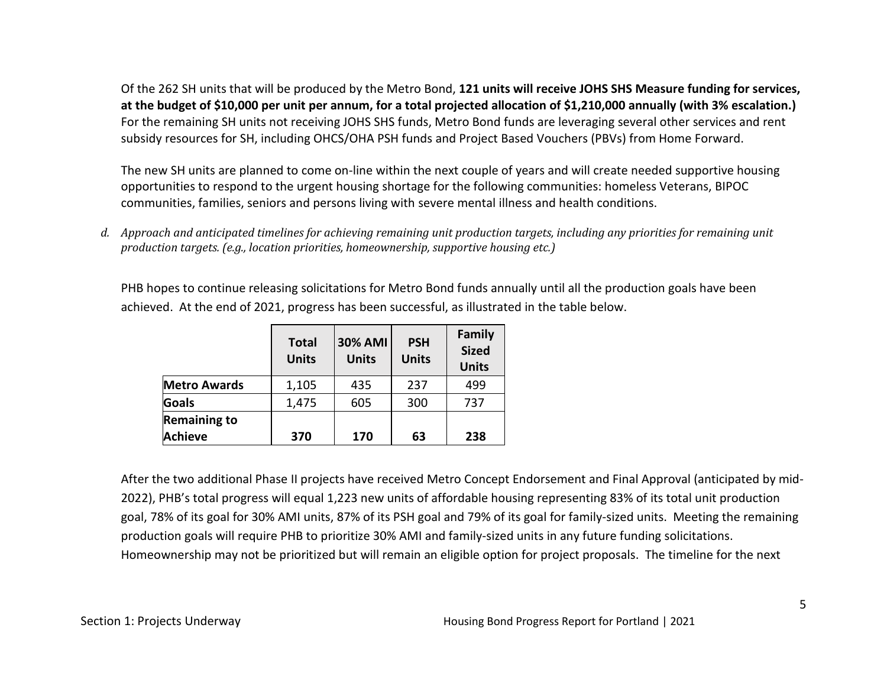Of the 262 SH units that will be produced by the Metro Bond, **121 units will receive JOHS SHS Measure funding for services, at the budget of \$10,000 per unit per annum, for a total projected allocation of \$1,210,000 annually (with 3% escalation.)** For the remaining SH units not receiving JOHS SHS funds, Metro Bond funds are leveraging several other services and rent subsidy resources for SH, including OHCS/OHA PSH funds and Project Based Vouchers (PBVs) from Home Forward.

The new SH units are planned to come on-line within the next couple of years and will create needed supportive housing opportunities to respond to the urgent housing shortage for the following communities: homeless Veterans, BIPOC communities, families, seniors and persons living with severe mental illness and health conditions.

*d. Approach and anticipated timelines for achieving remaining unit production targets, including any priorities for remaining unit production targets. (e.g., location priorities, homeownership, supportive housing etc.)* 

PHB hopes to continue releasing solicitations for Metro Bond funds annually until all the production goals have been achieved. At the end of 2021, progress has been successful, as illustrated in the table below.

|                                       | <b>Total</b><br><b>Units</b> | <b>30% AMI</b><br><b>Units</b> | <b>PSH</b><br><b>Units</b> | Family<br><b>Sized</b><br><b>Units</b> |
|---------------------------------------|------------------------------|--------------------------------|----------------------------|----------------------------------------|
| <b>Metro Awards</b>                   | 1,105                        | 435                            | 237                        | 499                                    |
| <b>Goals</b>                          | 1,475                        | 605                            | 300                        | 737                                    |
| <b>Remaining to</b><br><b>Achieve</b> | 370                          | 170                            | 63                         | 238                                    |

After the two additional Phase II projects have received Metro Concept Endorsement and Final Approval (anticipated by mid-2022), PHB's total progress will equal 1,223 new units of affordable housing representing 83% of its total unit production goal, 78% of its goal for 30% AMI units, 87% of its PSH goal and 79% of its goal for family-sized units. Meeting the remaining production goals will require PHB to prioritize 30% AMI and family-sized units in any future funding solicitations. Homeownership may not be prioritized but will remain an eligible option for project proposals. The timeline for the next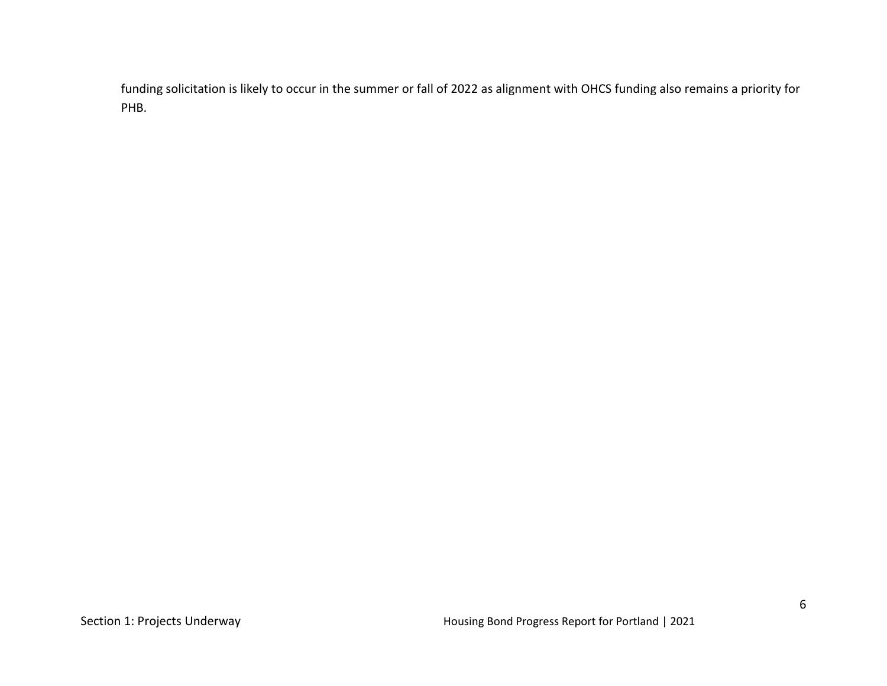funding solicitation is likely to occur in the summer or fall of 2022 as alignment with OHCS funding also remains a priority for PHB.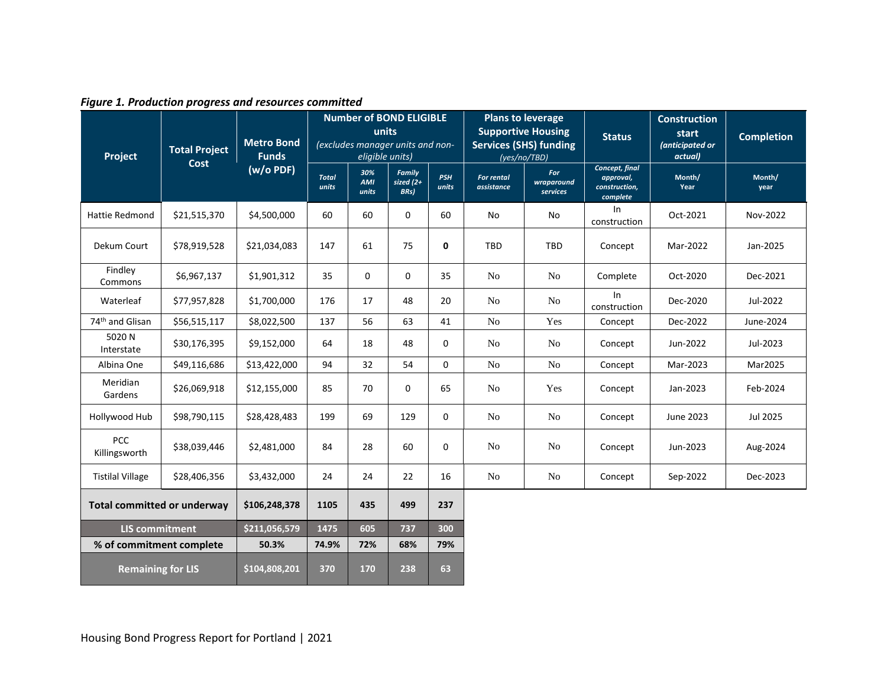| Project                            | <b>Total Project</b><br>Cost | <b>Metro Bond</b><br><b>Funds</b> | <b>Number of BOND ELIGIBLE</b><br>units<br>(excludes manager units and non-<br>eligible units) |                     |                                       | <b>Plans to leverage</b><br><b>Supportive Housing</b><br><b>Services (SHS) funding</b><br>(yes/no/TBD) |                                 | <b>Status</b>                 | <b>Construction</b><br>start<br>(anticipated or<br>actual) | <b>Completion</b> |                |
|------------------------------------|------------------------------|-----------------------------------|------------------------------------------------------------------------------------------------|---------------------|---------------------------------------|--------------------------------------------------------------------------------------------------------|---------------------------------|-------------------------------|------------------------------------------------------------|-------------------|----------------|
|                                    |                              | $(w/o$ PDF)                       | <b>Total</b><br>units                                                                          | 30%<br>AMI<br>units | <b>Family</b><br>sized $(2+)$<br>BRs) | <b>PSH</b><br>units                                                                                    | <b>For rental</b><br>assistance | For<br>wraparound<br>services | Concept, final<br>approval,<br>construction,<br>complete   | Month/<br>Year    | Month/<br>year |
| <b>Hattie Redmond</b>              | \$21,515,370                 | \$4,500,000                       | 60                                                                                             | 60                  | 0                                     | 60                                                                                                     | No                              | No                            | In<br>construction                                         | Oct-2021          | Nov-2022       |
| Dekum Court                        | \$78,919,528                 | \$21,034,083                      | 147                                                                                            | 61                  | 75                                    | 0                                                                                                      | <b>TBD</b>                      | TBD                           | Concept                                                    | Mar-2022          | Jan-2025       |
| Findley<br>Commons                 | \$6,967,137                  | \$1,901,312                       | 35                                                                                             | $\mathbf 0$         | 0                                     | 35                                                                                                     | N <sub>o</sub>                  | No                            | Complete                                                   | Oct-2020          | Dec-2021       |
| Waterleaf                          | \$77,957,828                 | \$1,700,000                       | 176                                                                                            | 17                  | 48                                    | 20                                                                                                     | N <sub>o</sub>                  | N <sub>o</sub>                | In<br>construction                                         | Dec-2020          | Jul-2022       |
| 74 <sup>th</sup> and Glisan        | \$56,515,117                 | \$8,022,500                       | 137                                                                                            | 56                  | 63                                    | 41                                                                                                     | N <sub>o</sub>                  | Yes                           | Concept                                                    | Dec-2022          | June-2024      |
| 5020N<br>Interstate                | \$30,176,395                 | \$9,152,000                       | 64                                                                                             | 18                  | 48                                    | 0                                                                                                      | N <sub>o</sub>                  | N <sub>0</sub>                | Concept                                                    | Jun-2022          | Jul-2023       |
| Albina One                         | \$49,116,686                 | \$13,422,000                      | 94                                                                                             | 32                  | 54                                    | 0                                                                                                      | N <sub>o</sub>                  | No                            | Concept                                                    | Mar-2023          | Mar2025        |
| Meridian<br>Gardens                | \$26,069,918                 | \$12,155,000                      | 85                                                                                             | 70                  | 0                                     | 65                                                                                                     | N <sub>o</sub>                  | Yes                           | Concept                                                    | Jan-2023          | Feb-2024       |
| Hollywood Hub                      | \$98,790,115                 | \$28,428,483                      | 199                                                                                            | 69                  | 129                                   | $\mathbf 0$                                                                                            | N <sub>o</sub>                  | N <sub>o</sub>                | Concept                                                    | June 2023         | Jul 2025       |
| <b>PCC</b><br>Killingsworth        | \$38,039,446                 | \$2,481,000                       | 84                                                                                             | 28                  | 60                                    | 0                                                                                                      | N <sub>o</sub>                  | N <sub>o</sub>                | Concept                                                    | Jun-2023          | Aug-2024       |
| <b>Tistilal Village</b>            | \$28,406,356                 | \$3,432,000                       | 24                                                                                             | 24                  | 22                                    | 16                                                                                                     | No                              | N <sub>0</sub>                | Concept                                                    | Sep-2022          | Dec-2023       |
| <b>Total committed or underway</b> |                              | \$106,248,378                     | 1105                                                                                           | 435                 | 499                                   | 237                                                                                                    |                                 |                               |                                                            |                   |                |
| <b>LIS commitment</b>              |                              | \$211,056,579                     | 1475                                                                                           | 605                 | 737                                   | 300                                                                                                    |                                 |                               |                                                            |                   |                |
| % of commitment complete           |                              | 50.3%                             | 74.9%                                                                                          | 72%                 | 68%                                   | 79%                                                                                                    |                                 |                               |                                                            |                   |                |
| <b>Remaining for LIS</b>           |                              | \$104,808,201                     | 370                                                                                            | 170                 | 238                                   | 63                                                                                                     |                                 |                               |                                                            |                   |                |

*Figure 1. Production progress and resources committed*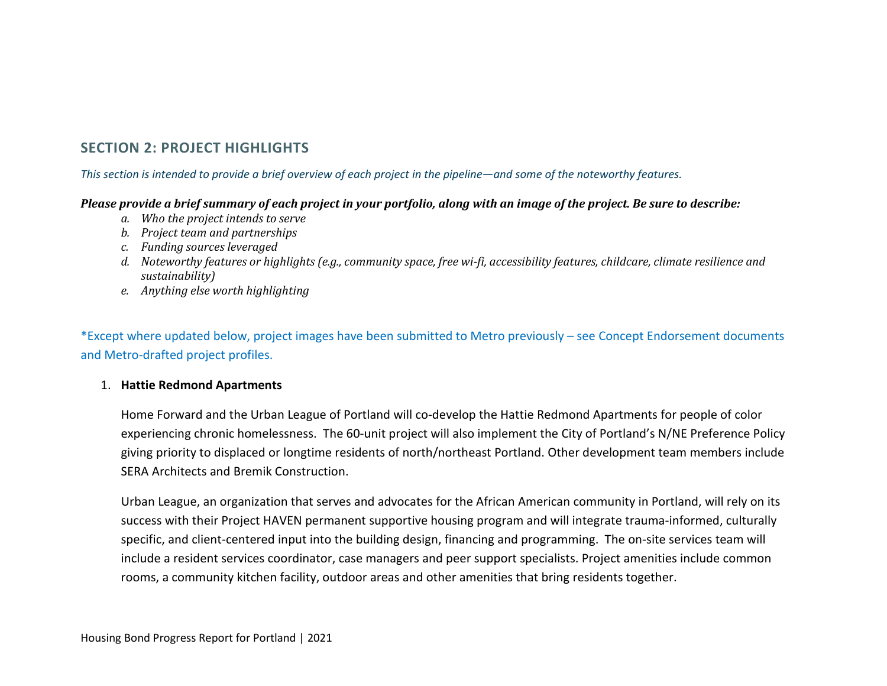# **SECTION 2: PROJECT HIGHLIGHTS**

# *This section is intended to provide a brief overview of each project in the pipeline—and some of the noteworthy features.*

# *Please provide a brief summary of each project in your portfolio, along with an image of the project. Be sure to describe:*

- *a. Who the project intends to serve*
- *b. Project team and partnerships*
- *c. Funding sources leveraged*
- *d. Noteworthy features or highlights (e.g., community space, free wi-fi, accessibility features, childcare, climate resilience and sustainability)*
- *e. Anything else worth highlighting*

\*Except where updated below, project images have been submitted to Metro previously – see Concept Endorsement documents and Metro-drafted project profiles.

# 1. **Hattie Redmond Apartments**

Home Forward and the Urban League of Portland will co-develop the Hattie Redmond Apartments for people of color experiencing chronic homelessness. The 60-unit project will also implement the City of Portland's N/NE Preference Policy giving priority to displaced or longtime residents of north/northeast Portland. Other development team members include SERA Architects and Bremik Construction.

Urban League, an organization that serves and advocates for the African American community in Portland, will rely on its success with their Project HAVEN permanent supportive housing program and will integrate trauma-informed, culturally specific, and client-centered input into the building design, financing and programming. The on-site services team will include a resident services coordinator, case managers and peer support specialists. Project amenities include common rooms, a community kitchen facility, outdoor areas and other amenities that bring residents together.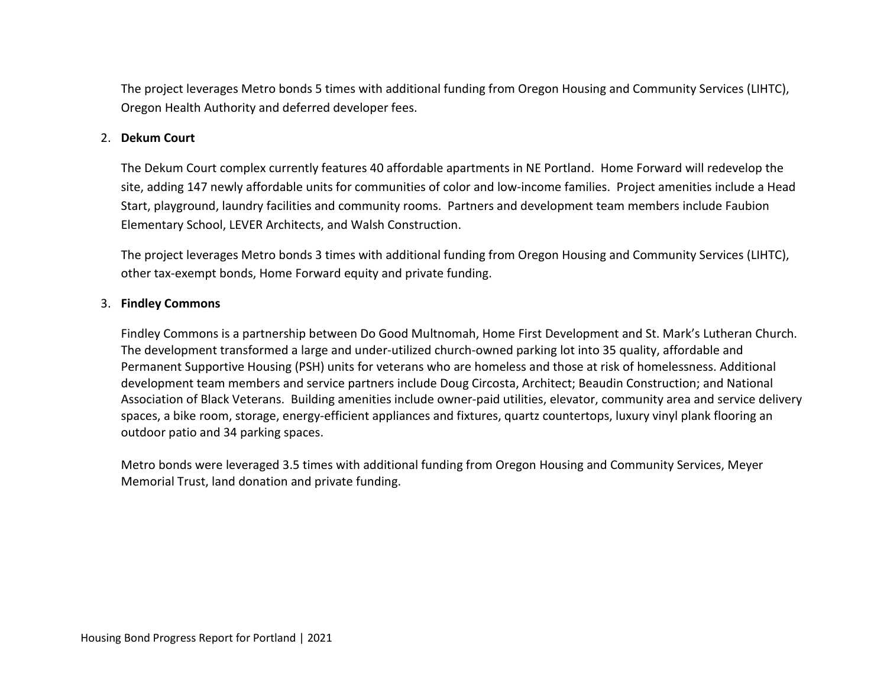The project leverages Metro bonds 5 times with additional funding from Oregon Housing and Community Services (LIHTC), Oregon Health Authority and deferred developer fees.

# 2. **Dekum Court**

The Dekum Court complex currently features 40 affordable apartments in NE Portland. Home Forward will redevelop the site, adding 147 newly affordable units for communities of color and low-income families. Project amenities include a Head Start, playground, laundry facilities and community rooms. Partners and development team members include Faubion Elementary School, LEVER Architects, and Walsh Construction.

The project leverages Metro bonds 3 times with additional funding from Oregon Housing and Community Services (LIHTC), other tax-exempt bonds, Home Forward equity and private funding.

# 3. **Findley Commons**

Findley Commons is a partnership between Do Good Multnomah, Home First Development and St. Mark's Lutheran Church. The development transformed a large and under-utilized church-owned parking lot into 35 quality, affordable and Permanent Supportive Housing (PSH) units for veterans who are homeless and those at risk of homelessness. Additional development team members and service partners include Doug Circosta, Architect; Beaudin Construction; and National Association of Black Veterans. Building amenities include owner-paid utilities, elevator, community area and service delivery spaces, a bike room, storage, energy-efficient appliances and fixtures, quartz countertops, luxury vinyl plank flooring an outdoor patio and 34 parking spaces.

Metro bonds were leveraged 3.5 times with additional funding from Oregon Housing and Community Services, Meyer Memorial Trust, land donation and private funding.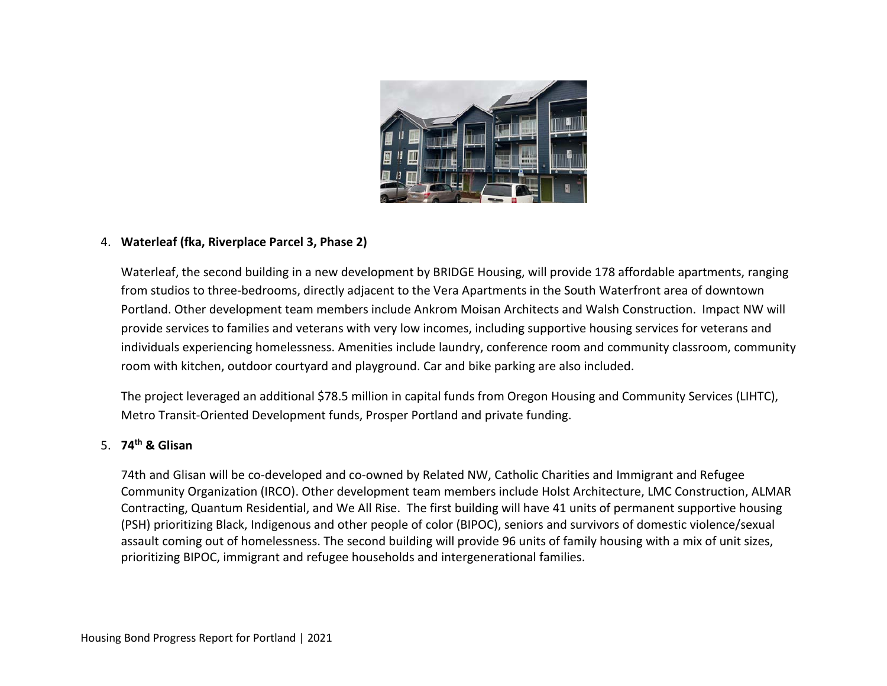

# 4. **Waterleaf (fka, Riverplace Parcel 3, Phase 2)**

Waterleaf, the second building in a new development by BRIDGE Housing, will provide 178 affordable apartments, ranging from studios to three-bedrooms, directly adjacent to the Vera Apartments in the South Waterfront area of downtown Portland. Other development team members include Ankrom Moisan Architects and Walsh Construction. Impact NW will provide services to families and veterans with very low incomes, including supportive housing services for veterans and individuals experiencing homelessness. Amenities include laundry, conference room and community classroom, community room with kitchen, outdoor courtyard and playground. Car and bike parking are also included.

The project leveraged an additional \$78.5 million in capital funds from Oregon Housing and Community Services (LIHTC), Metro Transit-Oriented Development funds, Prosper Portland and private funding.

# 5. **74th & Glisan**

74th and Glisan will be co-developed and co-owned by Related NW, Catholic Charities and Immigrant and Refugee Community Organization (IRCO). Other development team members include Holst Architecture, LMC Construction, ALMAR Contracting, Quantum Residential, and We All Rise. The first building will have 41 units of permanent supportive housing (PSH) prioritizing Black, Indigenous and other people of color (BIPOC), seniors and survivors of domestic violence/sexual assault coming out of homelessness. The second building will provide 96 units of family housing with a mix of unit sizes, prioritizing BIPOC, immigrant and refugee households and intergenerational families.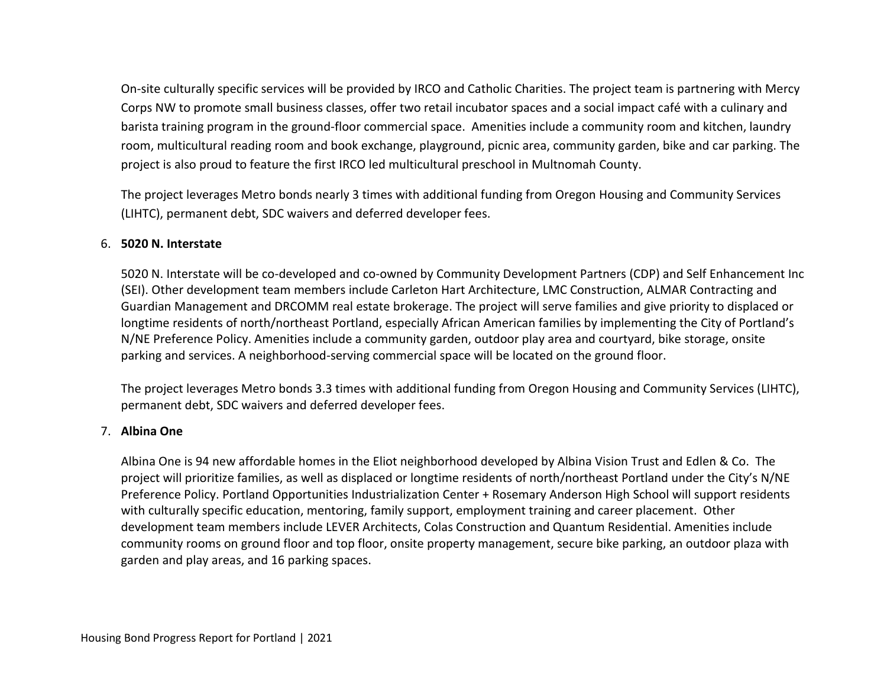On-site culturally specific services will be provided by IRCO and Catholic Charities. The project team is partnering with Mercy Corps NW to promote small business classes, offer two retail incubator spaces and a social impact café with a culinary and barista training program in the ground-floor commercial space. Amenities include a community room and kitchen, laundry room, multicultural reading room and book exchange, playground, picnic area, community garden, bike and car parking. The project is also proud to feature the first IRCO led multicultural preschool in Multnomah County.

The project leverages Metro bonds nearly 3 times with additional funding from Oregon Housing and Community Services (LIHTC), permanent debt, SDC waivers and deferred developer fees.

# 6. **5020 N. Interstate**

5020 N. Interstate will be co-developed and co-owned by Community Development Partners (CDP) and Self Enhancement Inc (SEI). Other development team members include Carleton Hart Architecture, LMC Construction, ALMAR Contracting and Guardian Management and DRCOMM real estate brokerage. The project will serve families and give priority to displaced or longtime residents of north/northeast Portland, especially African American families by implementing the City of Portland's N/NE Preference Policy. Amenities include a community garden, outdoor play area and courtyard, bike storage, onsite parking and services. A neighborhood-serving commercial space will be located on the ground floor.

The project leverages Metro bonds 3.3 times with additional funding from Oregon Housing and Community Services (LIHTC), permanent debt, SDC waivers and deferred developer fees.

# 7. **Albina One**

Albina One is 94 new affordable homes in the Eliot neighborhood developed by Albina Vision Trust and Edlen & Co. The project will prioritize families, as well as displaced or longtime residents of north/northeast Portland under the City's N/NE Preference Policy. Portland Opportunities Industrialization Center + Rosemary Anderson High School will support residents with culturally specific education, mentoring, family support, employment training and career placement. Other development team members include LEVER Architects, Colas Construction and Quantum Residential. Amenities include community rooms on ground floor and top floor, onsite property management, secure bike parking, an outdoor plaza with garden and play areas, and 16 parking spaces.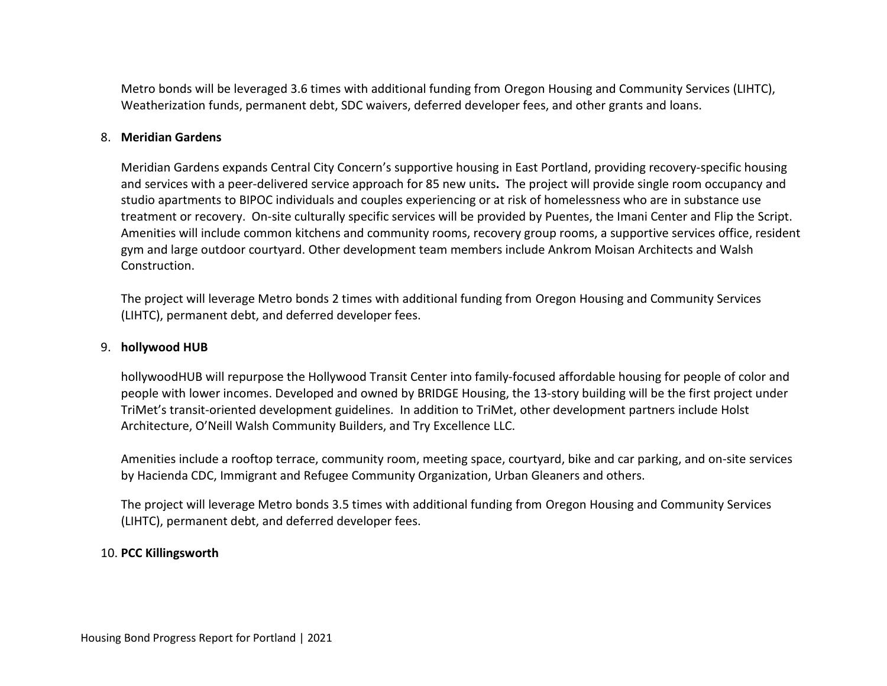Metro bonds will be leveraged 3.6 times with additional funding from Oregon Housing and Community Services (LIHTC), Weatherization funds, permanent debt, SDC waivers, deferred developer fees, and other grants and loans.

### 8. **Meridian Gardens**

Meridian Gardens expands Central City Concern's supportive housing in East Portland, providing recovery-specific housing and services with a peer-delivered service approach for 85 new units**.** The project will provide single room occupancy and studio apartments to BIPOC individuals and couples experiencing or at risk of homelessness who are in substance use treatment or recovery. On-site culturally specific services will be provided by Puentes, the Imani Center and Flip the Script. Amenities will include common kitchens and community rooms, recovery group rooms, a supportive services office, resident gym and large outdoor courtyard. Other development team members include Ankrom Moisan Architects and Walsh Construction.

The project will leverage Metro bonds 2 times with additional funding from Oregon Housing and Community Services (LIHTC), permanent debt, and deferred developer fees.

### 9. **hollywood HUB**

hollywoodHUB will repurpose the Hollywood Transit Center into family-focused affordable housing for people of color and people with lower incomes. Developed and owned by BRIDGE Housing, the 13-story building will be the first project under TriMet's transit-oriented development guidelines. In addition to TriMet, other development partners include Holst Architecture, O'Neill Walsh Community Builders, and Try Excellence LLC.

Amenities include a rooftop terrace, community room, meeting space, courtyard, bike and car parking, and on-site services by Hacienda CDC, Immigrant and Refugee Community Organization, Urban Gleaners and others.

The project will leverage Metro bonds 3.5 times with additional funding from Oregon Housing and Community Services (LIHTC), permanent debt, and deferred developer fees.

#### 10. **PCC Killingsworth**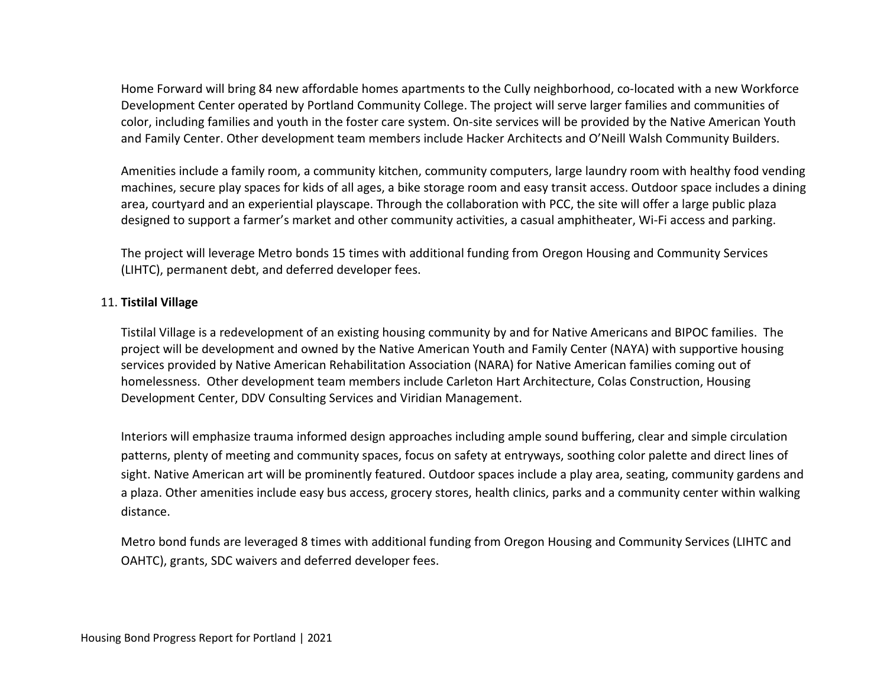Home Forward will bring 84 new affordable homes apartments to the Cully neighborhood, co-located with a new Workforce Development Center operated by Portland Community College. The project will serve larger families and communities of color, including families and youth in the foster care system. On-site services will be provided by the Native American Youth and Family Center. Other development team members include Hacker Architects and O'Neill Walsh Community Builders.

Amenities include a family room, a community kitchen, community computers, large laundry room with healthy food vending machines, secure play spaces for kids of all ages, a bike storage room and easy transit access. Outdoor space includes a dining area, courtyard and an experiential playscape. Through the collaboration with PCC, the site will offer a large public plaza designed to support a farmer's market and other community activities, a casual amphitheater, Wi-Fi access and parking.

The project will leverage Metro bonds 15 times with additional funding from Oregon Housing and Community Services (LIHTC), permanent debt, and deferred developer fees.

# 11. **Tistilal Village**

Tistilal Village is a redevelopment of an existing housing community by and for Native Americans and BIPOC families. The project will be development and owned by the Native American Youth and Family Center (NAYA) with supportive housing services provided by Native American Rehabilitation Association (NARA) for Native American families coming out of homelessness. Other development team members include Carleton Hart Architecture, Colas Construction, Housing Development Center, DDV Consulting Services and Viridian Management.

Interiors will emphasize trauma informed design approaches including ample sound buffering, clear and simple circulation patterns, plenty of meeting and community spaces, focus on safety at entryways, soothing color palette and direct lines of sight. Native American art will be prominently featured. Outdoor spaces include a play area, seating, community gardens and a plaza. Other amenities include easy bus access, grocery stores, health clinics, parks and a community center within walking distance.

Metro bond funds are leveraged 8 times with additional funding from Oregon Housing and Community Services (LIHTC and OAHTC), grants, SDC waivers and deferred developer fees.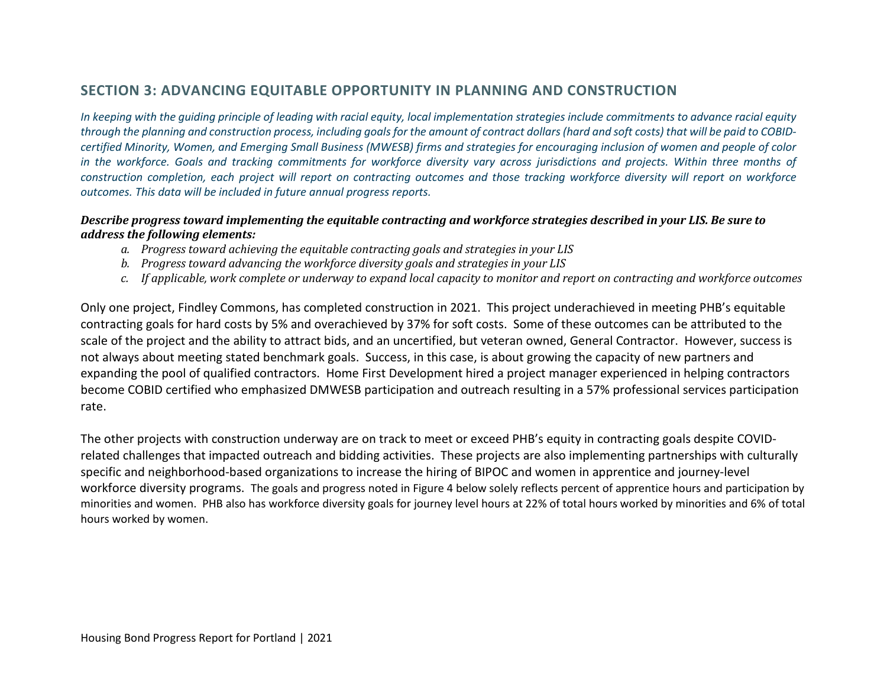# **SECTION 3: ADVANCING EQUITABLE OPPORTUNITY IN PLANNING AND CONSTRUCTION**

*In keeping with the guiding principle of leading with racial equity, local implementation strategies include commitments to advance racial equity through the planning and construction process, including goals for the amount of contract dollars (hard and soft costs) that will be paid to COBIDcertified Minority, Women, and Emerging Small Business (MWESB) firms and strategies for encouraging inclusion of women and people of color in the workforce. Goals and tracking commitments for workforce diversity vary across jurisdictions and projects. Within three months of construction completion, each project will report on contracting outcomes and those tracking workforce diversity will report on workforce outcomes. This data will be included in future annual progress reports.* 

# *Describe progress toward implementing the equitable contracting and workforce strategies described in your LIS. Be sure to address the following elements:*

- *a. Progress toward achieving the equitable contracting goals and strategies in your LIS*
- *b. Progress toward advancing the workforce diversity goals and strategies in your LIS*
- *c. If applicable, work complete or underway to expand local capacity to monitor and report on contracting and workforce outcomes*

Only one project, Findley Commons, has completed construction in 2021. This project underachieved in meeting PHB's equitable contracting goals for hard costs by 5% and overachieved by 37% for soft costs. Some of these outcomes can be attributed to the scale of the project and the ability to attract bids, and an uncertified, but veteran owned, General Contractor. However, success is not always about meeting stated benchmark goals. Success, in this case, is about growing the capacity of new partners and expanding the pool of qualified contractors. Home First Development hired a project manager experienced in helping contractors become COBID certified who emphasized DMWESB participation and outreach resulting in a 57% professional services participation rate.

The other projects with construction underway are on track to meet or exceed PHB's equity in contracting goals despite COVIDrelated challenges that impacted outreach and bidding activities. These projects are also implementing partnerships with culturally specific and neighborhood-based organizations to increase the hiring of BIPOC and women in apprentice and journey-level workforce diversity programs. The goals and progress noted in Figure 4 below solely reflects percent of apprentice hours and participation by minorities and women. PHB also has workforce diversity goals for journey level hours at 22% of total hours worked by minorities and 6% of total hours worked by women.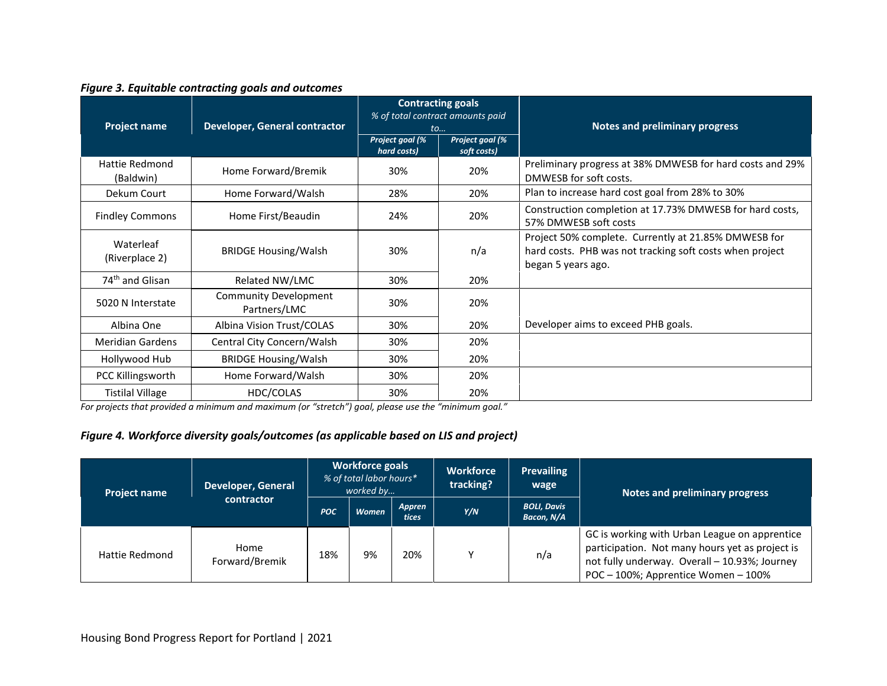### *Figure 3. Equitable contracting goals and outcomes*

| <b>Project name</b>         | Developer, General contractor                |                                | <b>Contracting goals</b><br>% of total contract amounts paid<br>to | <b>Notes and preliminary progress</b>                                                                                                  |
|-----------------------------|----------------------------------------------|--------------------------------|--------------------------------------------------------------------|----------------------------------------------------------------------------------------------------------------------------------------|
|                             |                                              | Project goal (%<br>hard costs) | Project goal (%<br>soft costs)                                     |                                                                                                                                        |
| Hattie Redmond<br>(Baldwin) | Home Forward/Bremik                          | 30%                            | 20%                                                                | Preliminary progress at 38% DMWESB for hard costs and 29%<br>DMWESB for soft costs.                                                    |
| Dekum Court                 | Home Forward/Walsh                           | 28%                            | 20%                                                                | Plan to increase hard cost goal from 28% to 30%                                                                                        |
| <b>Findley Commons</b>      | Home First/Beaudin                           | 24%                            | 20%                                                                | Construction completion at 17.73% DMWESB for hard costs,<br>57% DMWESB soft costs                                                      |
| Waterleaf<br>(Riverplace 2) | <b>BRIDGE Housing/Walsh</b>                  | 30%                            | n/a                                                                | Project 50% complete. Currently at 21.85% DMWESB for<br>hard costs. PHB was not tracking soft costs when project<br>began 5 years ago. |
| 74 <sup>th</sup> and Glisan | Related NW/LMC                               | 30%                            | 20%                                                                |                                                                                                                                        |
| 5020 N Interstate           | <b>Community Development</b><br>Partners/LMC | 30%                            | 20%                                                                |                                                                                                                                        |
| Albina One                  | Albina Vision Trust/COLAS                    | 30%                            | 20%                                                                | Developer aims to exceed PHB goals.                                                                                                    |
| <b>Meridian Gardens</b>     | Central City Concern/Walsh                   | 30%                            | 20%                                                                |                                                                                                                                        |
| Hollywood Hub               | <b>BRIDGE Housing/Walsh</b>                  | 30%                            | 20%                                                                |                                                                                                                                        |
| PCC Killingsworth           | Home Forward/Walsh                           | 30%                            | 20%                                                                |                                                                                                                                        |
| <b>Tistilal Village</b>     | HDC/COLAS                                    | 30%                            | 20%                                                                |                                                                                                                                        |

*For projects that provided a minimum and maximum (or "stretch") goal, please use the "minimum goal."*

# *Figure 4. Workforce diversity goals/outcomes (as applicable based on LIS and project)*

| <b>Project name</b> | <b>Developer, General</b> | <b>Workforce goals</b><br>% of total labor hours*<br>worked by |              |                               | <b>Workforce</b><br>tracking? | <b>Prevailing</b><br>wage        | Notes and preliminary progress                                                                                                                                                           |
|---------------------|---------------------------|----------------------------------------------------------------|--------------|-------------------------------|-------------------------------|----------------------------------|------------------------------------------------------------------------------------------------------------------------------------------------------------------------------------------|
|                     | contractor                | <b>POC</b>                                                     | <b>Women</b> | <b>Appren</b><br><b>tices</b> | Y/N                           | <b>BOLI, Davis</b><br>Bacon, N/A |                                                                                                                                                                                          |
| Hattie Redmond      | Home<br>Forward/Bremik    | 18%                                                            | 9%           | 20%                           | $\check{ }$                   | n/a                              | GC is working with Urban League on apprentice<br>participation. Not many hours yet as project is<br>not fully underway. Overall - 10.93%; Journey<br>POC - 100%; Apprentice Women - 100% |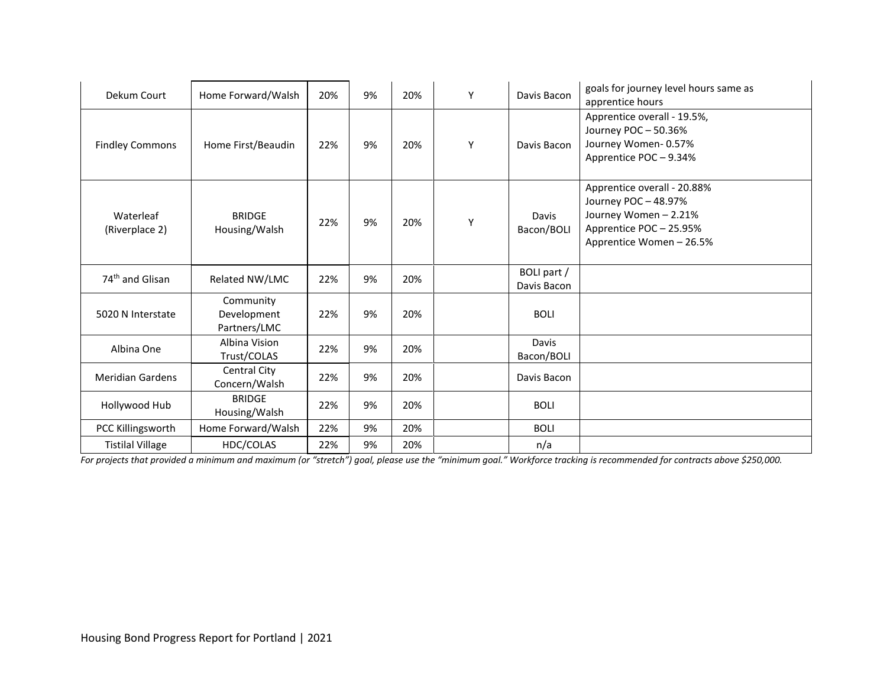| Dekum Court                 | Home Forward/Walsh                       | 20% | 9% | 20% | Y | Davis Bacon                | goals for journey level hours same as<br>apprentice hours                                                                         |
|-----------------------------|------------------------------------------|-----|----|-----|---|----------------------------|-----------------------------------------------------------------------------------------------------------------------------------|
| <b>Findley Commons</b>      | Home First/Beaudin                       | 22% | 9% | 20% | Y | Davis Bacon                | Apprentice overall - 19.5%,<br>Journey POC-50.36%<br>Journey Women-0.57%<br>Apprentice POC-9.34%                                  |
| Waterleaf<br>(Riverplace 2) | <b>BRIDGE</b><br>Housing/Walsh           | 22% | 9% | 20% | Y | Davis<br>Bacon/BOLI        | Apprentice overall - 20.88%<br>Journey POC-48.97%<br>Journey Women - 2.21%<br>Apprentice POC - 25.95%<br>Apprentice Women - 26.5% |
| 74 <sup>th</sup> and Glisan | Related NW/LMC                           | 22% | 9% | 20% |   | BOLI part /<br>Davis Bacon |                                                                                                                                   |
| 5020 N Interstate           | Community<br>Development<br>Partners/LMC | 22% | 9% | 20% |   | <b>BOLI</b>                |                                                                                                                                   |
| Albina One                  | Albina Vision<br>Trust/COLAS             | 22% | 9% | 20% |   | Davis<br>Bacon/BOLI        |                                                                                                                                   |
| <b>Meridian Gardens</b>     | Central City<br>Concern/Walsh            | 22% | 9% | 20% |   | Davis Bacon                |                                                                                                                                   |
| Hollywood Hub               | <b>BRIDGE</b><br>Housing/Walsh           | 22% | 9% | 20% |   | <b>BOLI</b>                |                                                                                                                                   |
| PCC Killingsworth           | Home Forward/Walsh                       | 22% | 9% | 20% |   | <b>BOLI</b>                |                                                                                                                                   |
| <b>Tistilal Village</b>     | HDC/COLAS                                | 22% | 9% | 20% |   | n/a                        |                                                                                                                                   |

*For projects that provided a minimum and maximum (or "stretch") goal, please use the "minimum goal." Workforce tracking is recommended for contracts above \$250,000.*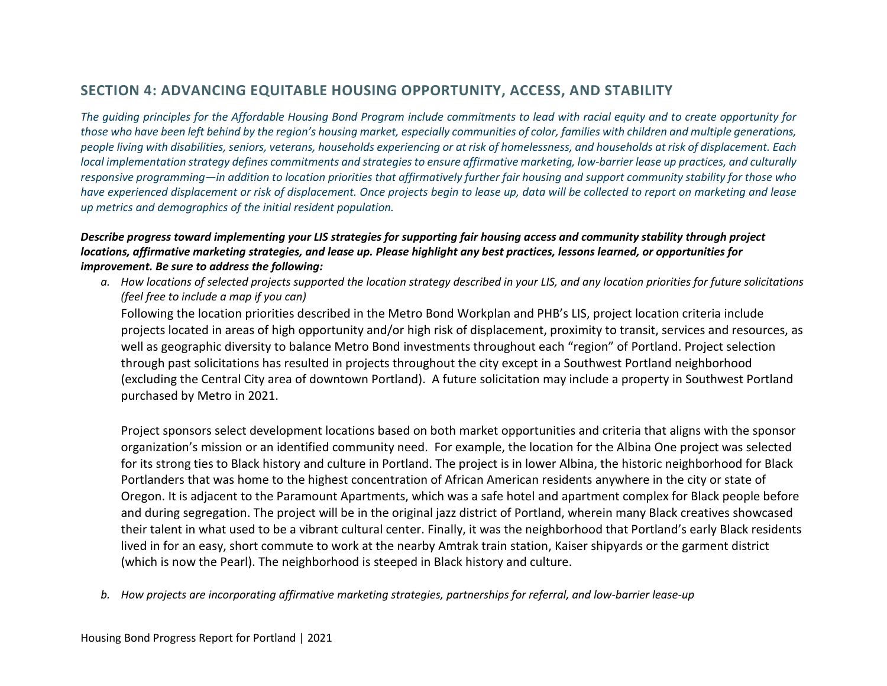# **SECTION 4: ADVANCING EQUITABLE HOUSING OPPORTUNITY, ACCESS, AND STABILITY**

*The guiding principles for the Affordable Housing Bond Program include commitments to lead with racial equity and to create opportunity for those who have been left behind by the region's housing market, especially communities of color, families with children and multiple generations, people living with disabilities, seniors, veterans, households experiencing or at risk of homelessness, and households at risk of displacement. Each local implementation strategy defines commitments and strategies to ensure affirmative marketing, low-barrier lease up practices, and culturally responsive programming—in addition to location priorities that affirmatively further fair housing and support community stability for those who have experienced displacement or risk of displacement. Once projects begin to lease up, data will be collected to report on marketing and lease up metrics and demographics of the initial resident population.* 

*Describe progress toward implementing your LIS strategies for supporting fair housing access and community stability through project locations, affirmative marketing strategies, and lease up. Please highlight any best practices, lessons learned, or opportunities for improvement. Be sure to address the following:* 

*a. How locations of selected projects supported the location strategy described in your LIS, and any location priorities for future solicitations (feel free to include a map if you can)*

Following the location priorities described in the Metro Bond Workplan and PHB's LIS, project location criteria include projects located in areas of high opportunity and/or high risk of displacement, proximity to transit, services and resources, as well as geographic diversity to balance Metro Bond investments throughout each "region" of Portland. Project selection through past solicitations has resulted in projects throughout the city except in a Southwest Portland neighborhood (excluding the Central City area of downtown Portland). A future solicitation may include a property in Southwest Portland purchased by Metro in 2021.

Project sponsors select development locations based on both market opportunities and criteria that aligns with the sponsor organization's mission or an identified community need. For example, the location for the Albina One project was selected for its strong ties to Black history and culture in Portland. The project is in lower Albina, the historic neighborhood for Black Portlanders that was home to the highest concentration of African American residents anywhere in the city or state of Oregon. It is adjacent to the Paramount Apartments, which was a safe hotel and apartment complex for Black people before and during segregation. The project will be in the original jazz district of Portland, wherein many Black creatives showcased their talent in what used to be a vibrant cultural center. Finally, it was the neighborhood that Portland's early Black residents lived in for an easy, short commute to work at the nearby Amtrak train station, Kaiser shipyards or the garment district (which is now the Pearl). The neighborhood is steeped in Black history and culture.

*b. How projects are incorporating affirmative marketing strategies, partnerships for referral, and low-barrier lease-up*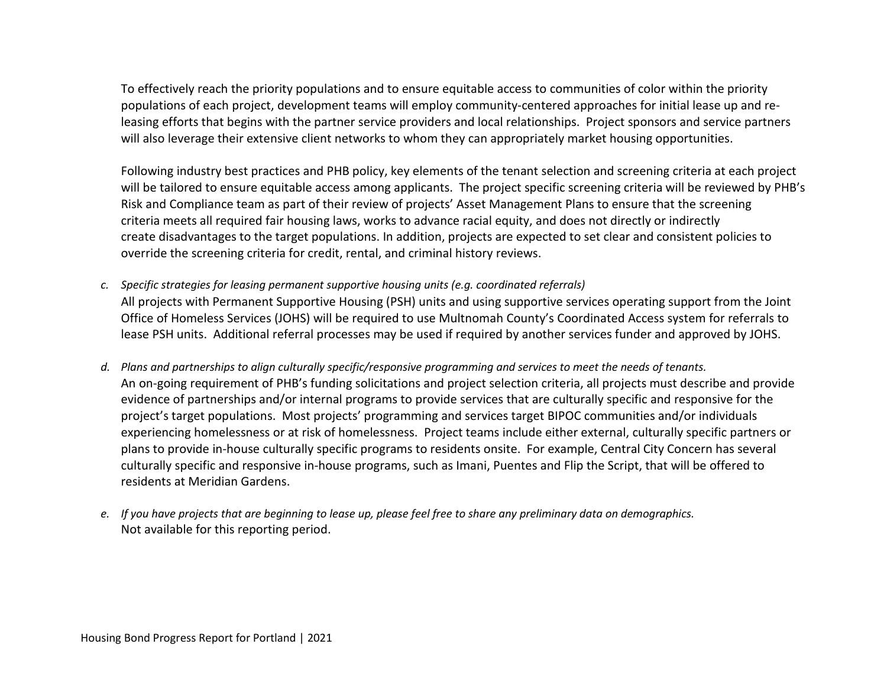To effectively reach the priority populations and to ensure equitable access to communities of color within the priority populations of each project, development teams will employ community-centered approaches for initial lease up and releasing efforts that begins with the partner service providers and local relationships. Project sponsors and service partners will also leverage their extensive client networks to whom they can appropriately market housing opportunities.

Following industry best practices and PHB policy, key elements of the tenant selection and screening criteria at each project will be tailored to ensure equitable access among applicants. The project specific screening criteria will be reviewed by PHB's Risk and Compliance team as part of their review of projects' Asset Management Plans to ensure that the screening criteria meets all required fair housing laws, works to advance racial equity, and does not directly or indirectly create disadvantages to the target populations. In addition, projects are expected to set clear and consistent policies to override the screening criteria for credit, rental, and criminal history reviews.

- *c. Specific strategies for leasing permanent supportive housing units (e.g. coordinated referrals)* All projects with Permanent Supportive Housing (PSH) units and using supportive services operating support from the Joint Office of Homeless Services (JOHS) will be required to use Multnomah County's Coordinated Access system for referrals to lease PSH units. Additional referral processes may be used if required by another services funder and approved by JOHS.
- *d. Plans and partnerships to align culturally specific/responsive programming and services to meet the needs of tenants.* An on-going requirement of PHB's funding solicitations and project selection criteria, all projects must describe and provide evidence of partnerships and/or internal programs to provide services that are culturally specific and responsive for the project's target populations. Most projects' programming and services target BIPOC communities and/or individuals experiencing homelessness or at risk of homelessness. Project teams include either external, culturally specific partners or plans to provide in-house culturally specific programs to residents onsite. For example, Central City Concern has several culturally specific and responsive in-house programs, such as Imani, Puentes and Flip the Script, that will be offered to residents at Meridian Gardens.
- *e. If you have projects that are beginning to lease up, please feel free to share any preliminary data on demographics.* Not available for this reporting period.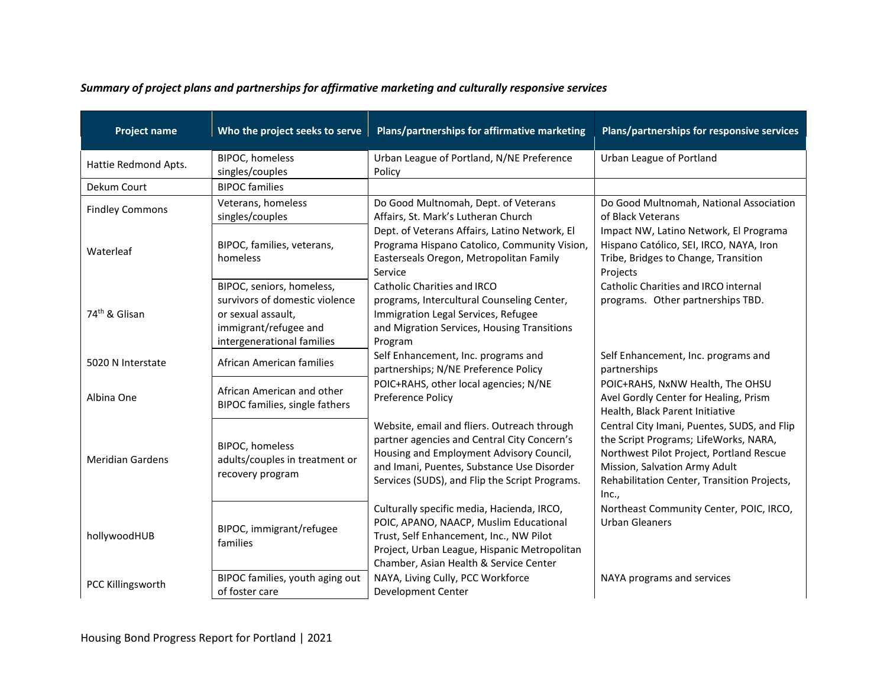| Summary of project plans and partnerships for affirmative marketing and culturally responsive services |  |  |  |
|--------------------------------------------------------------------------------------------------------|--|--|--|
|--------------------------------------------------------------------------------------------------------|--|--|--|

| <b>Project name</b>       | Who the project seeks to serve                                                                                                           | Plans/partnerships for affirmative marketing                                                                                                                                                                                           | Plans/partnerships for responsive services                                                                                                                                                                                |
|---------------------------|------------------------------------------------------------------------------------------------------------------------------------------|----------------------------------------------------------------------------------------------------------------------------------------------------------------------------------------------------------------------------------------|---------------------------------------------------------------------------------------------------------------------------------------------------------------------------------------------------------------------------|
| Hattie Redmond Apts.      | <b>BIPOC, homeless</b><br>singles/couples                                                                                                | Urban League of Portland, N/NE Preference<br>Policy                                                                                                                                                                                    | Urban League of Portland                                                                                                                                                                                                  |
| Dekum Court               | <b>BIPOC</b> families                                                                                                                    |                                                                                                                                                                                                                                        |                                                                                                                                                                                                                           |
| <b>Findley Commons</b>    | Veterans, homeless<br>singles/couples                                                                                                    | Do Good Multnomah, Dept. of Veterans<br>Affairs, St. Mark's Lutheran Church                                                                                                                                                            | Do Good Multnomah, National Association<br>of Black Veterans                                                                                                                                                              |
| Waterleaf                 | BIPOC, families, veterans,<br>homeless                                                                                                   | Dept. of Veterans Affairs, Latino Network, El<br>Programa Hispano Catolico, Community Vision,<br>Easterseals Oregon, Metropolitan Family<br>Service                                                                                    | Impact NW, Latino Network, El Programa<br>Hispano Católico, SEI, IRCO, NAYA, Iron<br>Tribe, Bridges to Change, Transition<br>Projects                                                                                     |
| 74 <sup>th</sup> & Glisan | BIPOC, seniors, homeless,<br>survivors of domestic violence<br>or sexual assault,<br>immigrant/refugee and<br>intergenerational families | <b>Catholic Charities and IRCO</b><br>programs, Intercultural Counseling Center,<br>Immigration Legal Services, Refugee<br>and Migration Services, Housing Transitions<br>Program                                                      | Catholic Charities and IRCO internal<br>programs. Other partnerships TBD.                                                                                                                                                 |
| 5020 N Interstate         | African American families                                                                                                                | Self Enhancement, Inc. programs and<br>partnerships; N/NE Preference Policy                                                                                                                                                            | Self Enhancement, Inc. programs and<br>partnerships                                                                                                                                                                       |
| Albina One                | African American and other<br>BIPOC families, single fathers                                                                             | POIC+RAHS, other local agencies; N/NE<br>Preference Policy                                                                                                                                                                             | POIC+RAHS, NxNW Health, The OHSU<br>Avel Gordly Center for Healing, Prism<br>Health, Black Parent Initiative                                                                                                              |
| <b>Meridian Gardens</b>   | <b>BIPOC, homeless</b><br>adults/couples in treatment or<br>recovery program                                                             | Website, email and fliers. Outreach through<br>partner agencies and Central City Concern's<br>Housing and Employment Advisory Council,<br>and Imani, Puentes, Substance Use Disorder<br>Services (SUDS), and Flip the Script Programs. | Central City Imani, Puentes, SUDS, and Flip<br>the Script Programs; LifeWorks, NARA,<br>Northwest Pilot Project, Portland Rescue<br>Mission, Salvation Army Adult<br>Rehabilitation Center, Transition Projects,<br>Inc., |
| hollywoodHUB              | BIPOC, immigrant/refugee<br>families                                                                                                     | Culturally specific media, Hacienda, IRCO,<br>POIC, APANO, NAACP, Muslim Educational<br>Trust, Self Enhancement, Inc., NW Pilot<br>Project, Urban League, Hispanic Metropolitan<br>Chamber, Asian Health & Service Center              | Northeast Community Center, POIC, IRCO,<br><b>Urban Gleaners</b>                                                                                                                                                          |
| PCC Killingsworth         | BIPOC families, youth aging out<br>of foster care                                                                                        | NAYA, Living Cully, PCC Workforce<br>Development Center                                                                                                                                                                                | NAYA programs and services                                                                                                                                                                                                |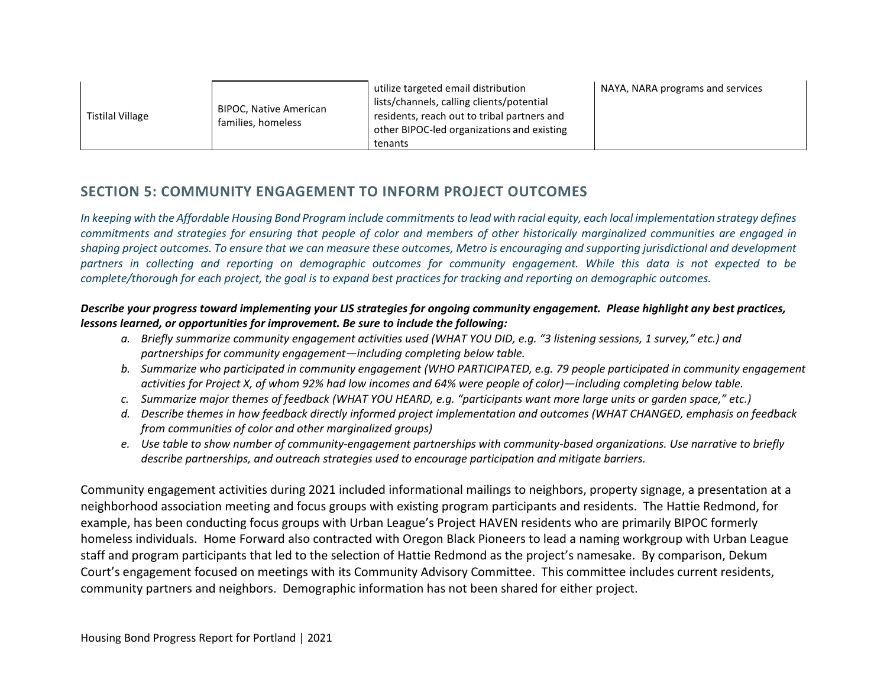| <b>Tistilal Village</b> | BIPOC, Native American<br>families, homeless | utilize targeted email distribution<br>lists/channels, calling clients/potential<br>residents, reach out to tribal partners and<br>other BIPOC-led organizations and existing<br>tenants | NAYA, NARA programs and services |
|-------------------------|----------------------------------------------|------------------------------------------------------------------------------------------------------------------------------------------------------------------------------------------|----------------------------------|
|-------------------------|----------------------------------------------|------------------------------------------------------------------------------------------------------------------------------------------------------------------------------------------|----------------------------------|

# **SECTION 5: COMMUNITY ENGAGEMENT TO INFORM PROJECT OUTCOMES**

*In keeping with the Affordable Housing Bond Program include commitments to lead with racial equity, each local implementation strategy defines commitments and strategies for ensuring that people of color and members of other historically marginalized communities are engaged in shaping project outcomes. To ensure that we can measure these outcomes, Metro is encouraging and supporting jurisdictional and development partners in collecting and reporting on demographic outcomes for community engagement. While this data is not expected to be complete/thorough for each project, the goal is to expand best practices for tracking and reporting on demographic outcomes.* 

# *Describe your progress toward implementing your LIS strategies for ongoing community engagement. Please highlight any best practices, lessons learned, or opportunities for improvement. Be sure to include the following:*

- *a. Briefly summarize community engagement activities used (WHAT YOU DID, e.g. "3 listening sessions, 1 survey," etc.) and partnerships for community engagement—including completing below table.*
- *b. Summarize who participated in community engagement (WHO PARTICIPATED, e.g. 79 people participated in community engagement activities for Project X, of whom 92% had low incomes and 64% were people of color)—including completing below table.*
- *c. Summarize major themes of feedback (WHAT YOU HEARD, e.g. "participants want more large units or garden space," etc.)*
- *d. Describe themes in how feedback directly informed project implementation and outcomes (WHAT CHANGED, emphasis on feedback from communities of color and other marginalized groups)*
- *e. Use table to show number of community-engagement partnerships with community-based organizations. Use narrative to briefly describe partnerships, and outreach strategies used to encourage participation and mitigate barriers.*

Community engagement activities during 2021 included informational mailings to neighbors, property signage, a presentation at a neighborhood association meeting and focus groups with existing program participants and residents. The Hattie Redmond, for example, has been conducting focus groups with Urban League's Project HAVEN residents who are primarily BIPOC formerly homeless individuals. Home Forward also contracted with Oregon Black Pioneers to lead a naming workgroup with Urban League staff and program participants that led to the selection of Hattie Redmond as the project's namesake. By comparison, Dekum Court's engagement focused on meetings with its Community Advisory Committee. This committee includes current residents, community partners and neighbors. Demographic information has not been shared for either project.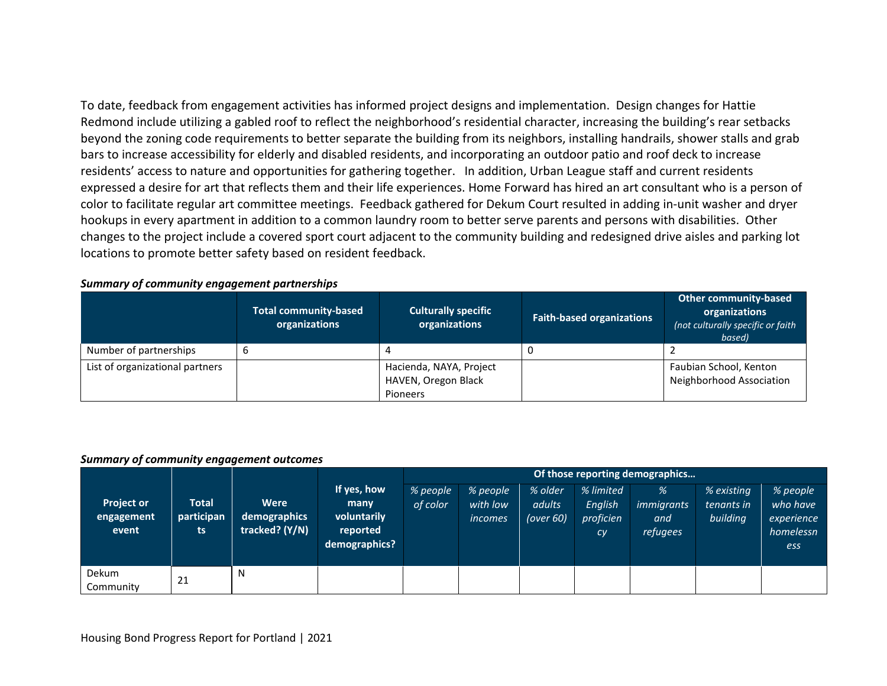To date, feedback from engagement activities has informed project designs and implementation. Design changes for Hattie Redmond include utilizing a gabled roof to reflect the neighborhood's residential character, increasing the building's rear setbacks beyond the zoning code requirements to better separate the building from its neighbors, installing handrails, shower stalls and grab bars to increase accessibility for elderly and disabled residents, and incorporating an outdoor patio and roof deck to increase residents' access to nature and opportunities for gathering together. In addition, Urban League staff and current residents expressed a desire for art that reflects them and their life experiences. Home Forward has hired an art consultant who is a person of color to facilitate regular art committee meetings. Feedback gathered for Dekum Court resulted in adding in-unit washer and dryer hookups in every apartment in addition to a common laundry room to better serve parents and persons with disabilities. Other changes to the project include a covered sport court adjacent to the community building and redesigned drive aisles and parking lot locations to promote better safety based on resident feedback.

# *Summary of community engagement partnerships*

|                                 | <b>Total community-based</b><br>organizations | <b>Culturally specific</b><br>organizations                | <b>Faith-based organizations</b> | <b>Other community-based</b><br>organizations<br>(not culturally specific or faith<br>based) |
|---------------------------------|-----------------------------------------------|------------------------------------------------------------|----------------------------------|----------------------------------------------------------------------------------------------|
| Number of partnerships          |                                               |                                                            |                                  |                                                                                              |
| List of organizational partners |                                               | Hacienda, NAYA, Project<br>HAVEN, Oregon Black<br>Pioneers |                                  | Faubian School, Kenton<br>Neighborhood Association                                           |

#### *Summary of community engagement outcomes*

|                                          |                                   |                                        |                                                                 | Of those reporting demographics |                                 |                                   |                                         |                                           |                                      |                                                        |
|------------------------------------------|-----------------------------------|----------------------------------------|-----------------------------------------------------------------|---------------------------------|---------------------------------|-----------------------------------|-----------------------------------------|-------------------------------------------|--------------------------------------|--------------------------------------------------------|
| <b>Project or</b><br>engagement<br>event | <b>Total</b><br>participan<br>ts. | Were<br>demographics<br>tracked? (Y/N) | If yes, how<br>many<br>voluntarily<br>reported<br>demographics? | % people<br>of color            | % people<br>with low<br>incomes | % older<br>adults<br>(over $60$ ) | % limited<br>English<br>proficien<br>cy | %<br><i>immigrants</i><br>and<br>refugees | % existing<br>tenants in<br>building | % people<br>who have<br>experience<br>homelessn<br>ess |
| Dekum<br>Community                       | 21                                | N                                      |                                                                 |                                 |                                 |                                   |                                         |                                           |                                      |                                                        |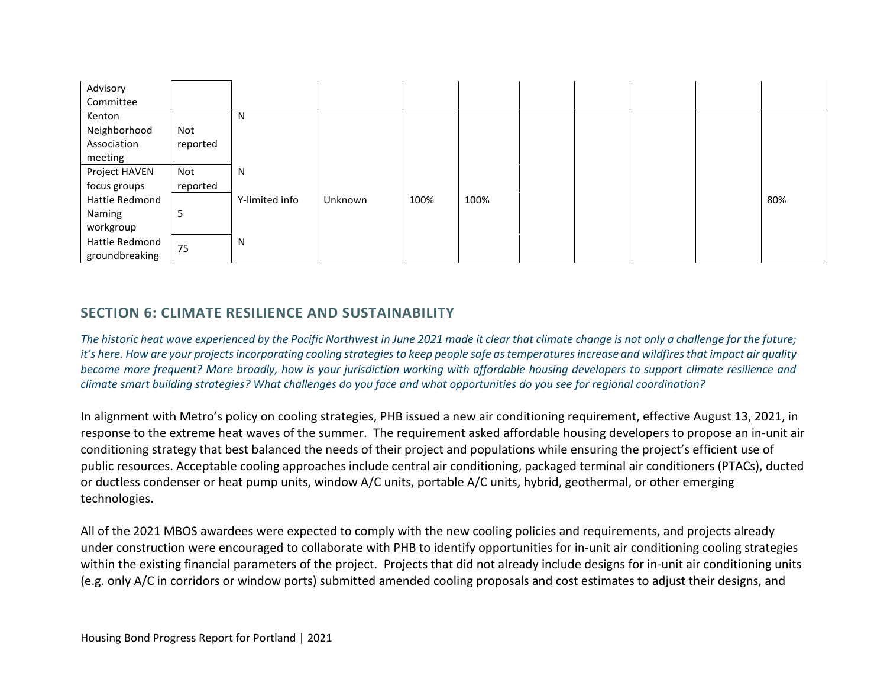| Advisory<br>Committee |          |                |         |      |      |  |  |     |
|-----------------------|----------|----------------|---------|------|------|--|--|-----|
| Kenton                |          | Ν              |         |      |      |  |  |     |
| Neighborhood          | Not      |                |         |      |      |  |  |     |
| Association           | reported |                |         |      |      |  |  |     |
| meeting               |          |                |         |      |      |  |  |     |
| Project HAVEN         | Not      | N              |         |      |      |  |  |     |
| focus groups          | reported |                |         |      |      |  |  |     |
| Hattie Redmond        |          | Y-limited info | Unknown | 100% | 100% |  |  | 80% |
| Naming                | 5        |                |         |      |      |  |  |     |
| workgroup             |          |                |         |      |      |  |  |     |
| Hattie Redmond        | 75       | N              |         |      |      |  |  |     |
| groundbreaking        |          |                |         |      |      |  |  |     |

# **SECTION 6: CLIMATE RESILIENCE AND SUSTAINABILITY**

*The historic heat wave experienced by the Pacific Northwest in June 2021 made it clear that climate change is not only a challenge for the future; it's here. How are your projects incorporating cooling strategies to keep people safe as temperatures increase and wildfires that impact air quality become more frequent? More broadly, how is your jurisdiction working with affordable housing developers to support climate resilience and climate smart building strategies? What challenges do you face and what opportunities do you see for regional coordination?* 

In alignment with Metro's policy on cooling strategies, PHB issued a new air conditioning requirement, effective August 13, 2021, in response to the extreme heat waves of the summer. The requirement asked affordable housing developers to propose an in-unit air conditioning strategy that best balanced the needs of their project and populations while ensuring the project's efficient use of public resources. Acceptable cooling approaches include central air conditioning, packaged terminal air conditioners (PTACs), ducted or ductless condenser or heat pump units, window A/C units, portable A/C units, hybrid, geothermal, or other emerging technologies.

All of the 2021 MBOS awardees were expected to comply with the new cooling policies and requirements, and projects already under construction were encouraged to collaborate with PHB to identify opportunities for in-unit air conditioning cooling strategies within the existing financial parameters of the project. Projects that did not already include designs for in-unit air conditioning units (e.g. only A/C in corridors or window ports) submitted amended cooling proposals and cost estimates to adjust their designs, and